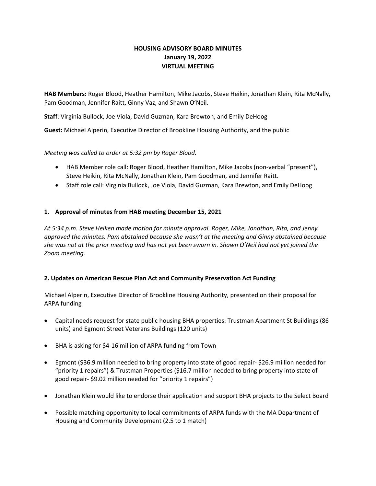# **HOUSING ADVISORY BOARD MINUTES January 19, 2022 VIRTUAL MEETING**

**HAB Members:** Roger Blood, Heather Hamilton, Mike Jacobs, Steve Heikin, Jonathan Klein, Rita McNally, Pam Goodman, Jennifer Raitt, Ginny Vaz, and Shawn O'Neil.

**Staff**: Virginia Bullock, Joe Viola, David Guzman, Kara Brewton, and Emily DeHoog

**Guest:** Michael Alperin, Executive Director of Brookline Housing Authority, and the public

## *Meeting was called to order at 5:32 pm by Roger Blood.*

- HAB Member role call: Roger Blood, Heather Hamilton, Mike Jacobs (non‐verbal "present"), Steve Heikin, Rita McNally, Jonathan Klein, Pam Goodman, and Jennifer Raitt.
- Staff role call: Virginia Bullock, Joe Viola, David Guzman, Kara Brewton, and Emily DeHoog

## **1. Approval of minutes from HAB meeting December 15, 2021**

*At 5:34 p.m. Steve Heiken made motion for minute approval. Roger, Mike, Jonathan, Rita, and Jenny approved the minutes. Pam abstained because she wasn't at the meeting and Ginny abstained because she was not at the prior meeting and has not yet been sworn in. Shawn O'Neil had not yet joined the Zoom meeting.* 

# **2. Updates on American Rescue Plan Act and Community Preservation Act Funding**

Michael Alperin, Executive Director of Brookline Housing Authority, presented on their proposal for ARPA funding

- Capital needs request for state public housing BHA properties: Trustman Apartment St Buildings (86 units) and Egmont Street Veterans Buildings (120 units)
- BHA is asking for \$4‐16 million of ARPA funding from Town
- Egmont (\$36.9 million needed to bring property into state of good repair‐ \$26.9 million needed for "priority 1 repairs") & Trustman Properties (\$16.7 million needed to bring property into state of good repair‐ \$9.02 million needed for "priority 1 repairs")
- Jonathan Klein would like to endorse their application and support BHA projects to the Select Board
- Possible matching opportunity to local commitments of ARPA funds with the MA Department of Housing and Community Development (2.5 to 1 match)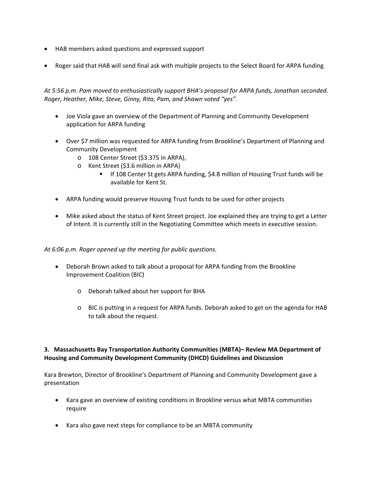- HAB members asked questions and expressed support
- Roger said that HAB will send final ask with multiple projects to the Select Board for ARPA funding

*At 5:56 p.m. Pam moved to enthusiastically support BHA's proposal for ARPA funds, Jonathan seconded. Roger, Heather, Mike, Steve, Ginny, Rita, Pam, and Shawn voted "yes".* 

- Joe Viola gave an overview of the Department of Planning and Community Development application for ARPA funding
- Over \$7 million was requested for ARPA funding from Brookline's Department of Planning and Community Development
	- o 108 Center Street (\$3.375 in ARPA),
	- o Kent Street (\$3.6 million in ARPA)
		- If 108 Center St gets ARPA funding, \$4.8 million of Housing Trust funds will be available for Kent St.
- ARPA funding would preserve Housing Trust funds to be used for other projects
- Mike asked about the status of Kent Street project. Joe explained they are trying to get a Letter of Intent. It is currently still in the Negotiating Committee which meets in executive session.

*At 6:06 p.m. Roger opened up the meeting for public questions.* 

- Deborah Brown asked to talk about a proposal for ARPA funding from the Brookline Improvement Coalition (BIC)
	- o Deborah talked about her support for BHA
	- o BIC is putting in a request for ARPA funds. Deborah asked to get on the agenda for HAB to talk about the request.

# **3. Massachusetts Bay Transportation Authority Communities (MBTA)– Review MA Department of Housing and Community Development Community (DHCD) Guidelines and Discussion**

Kara Brewton, Director of Brookline's Department of Planning and Community Development gave a presentation

- Kara gave an overview of existing conditions in Brookline versus what MBTA communities require
- Kara also gave next steps for compliance to be an MBTA community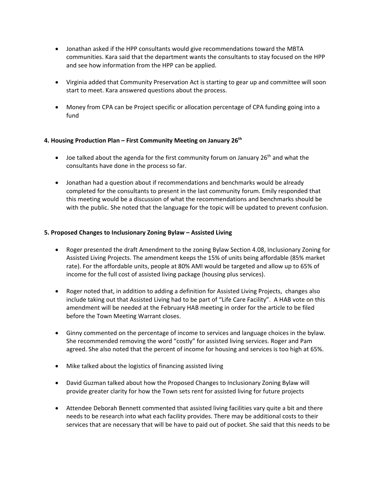- Jonathan asked if the HPP consultants would give recommendations toward the MBTA communities. Kara said that the department wants the consultants to stay focused on the HPP and see how information from the HPP can be applied.
- Virginia added that Community Preservation Act is starting to gear up and committee will soon start to meet. Kara answered questions about the process.
- Money from CPA can be Project specific or allocation percentage of CPA funding going into a fund

### **4. Housing Production Plan – First Community Meeting on January 26th**

- $\bullet$  Joe talked about the agenda for the first community forum on January 26<sup>th</sup> and what the consultants have done in the process so far.
- Jonathan had a question about if recommendations and benchmarks would be already completed for the consultants to present in the last community forum. Emily responded that this meeting would be a discussion of what the recommendations and benchmarks should be with the public. She noted that the language for the topic will be updated to prevent confusion.

### **5. Proposed Changes to Inclusionary Zoning Bylaw – Assisted Living**

- Roger presented the draft Amendment to the zoning Bylaw Section 4.08, Inclusionary Zoning for Assisted Living Projects. The amendment keeps the 15% of units being affordable (85% market rate). For the affordable units, people at 80% AMI would be targeted and allow up to 65% of income for the full cost of assisted living package (housing plus services).
- Roger noted that, in addition to adding a definition for Assisted Living Projects, changes also include taking out that Assisted Living had to be part of "Life Care Facility". A HAB vote on this amendment will be needed at the February HAB meeting in order for the article to be filed before the Town Meeting Warrant closes.
- Ginny commented on the percentage of income to services and language choices in the bylaw. She recommended removing the word "costly" for assisted living services. Roger and Pam agreed. She also noted that the percent of income for housing and services is too high at 65%.
- Mike talked about the logistics of financing assisted living
- David Guzman talked about how the Proposed Changes to Inclusionary Zoning Bylaw will provide greater clarity for how the Town sets rent for assisted living for future projects
- Attendee Deborah Bennett commented that assisted living facilities vary quite a bit and there needs to be research into what each facility provides. There may be additional costs to their services that are necessary that will be have to paid out of pocket. She said that this needs to be